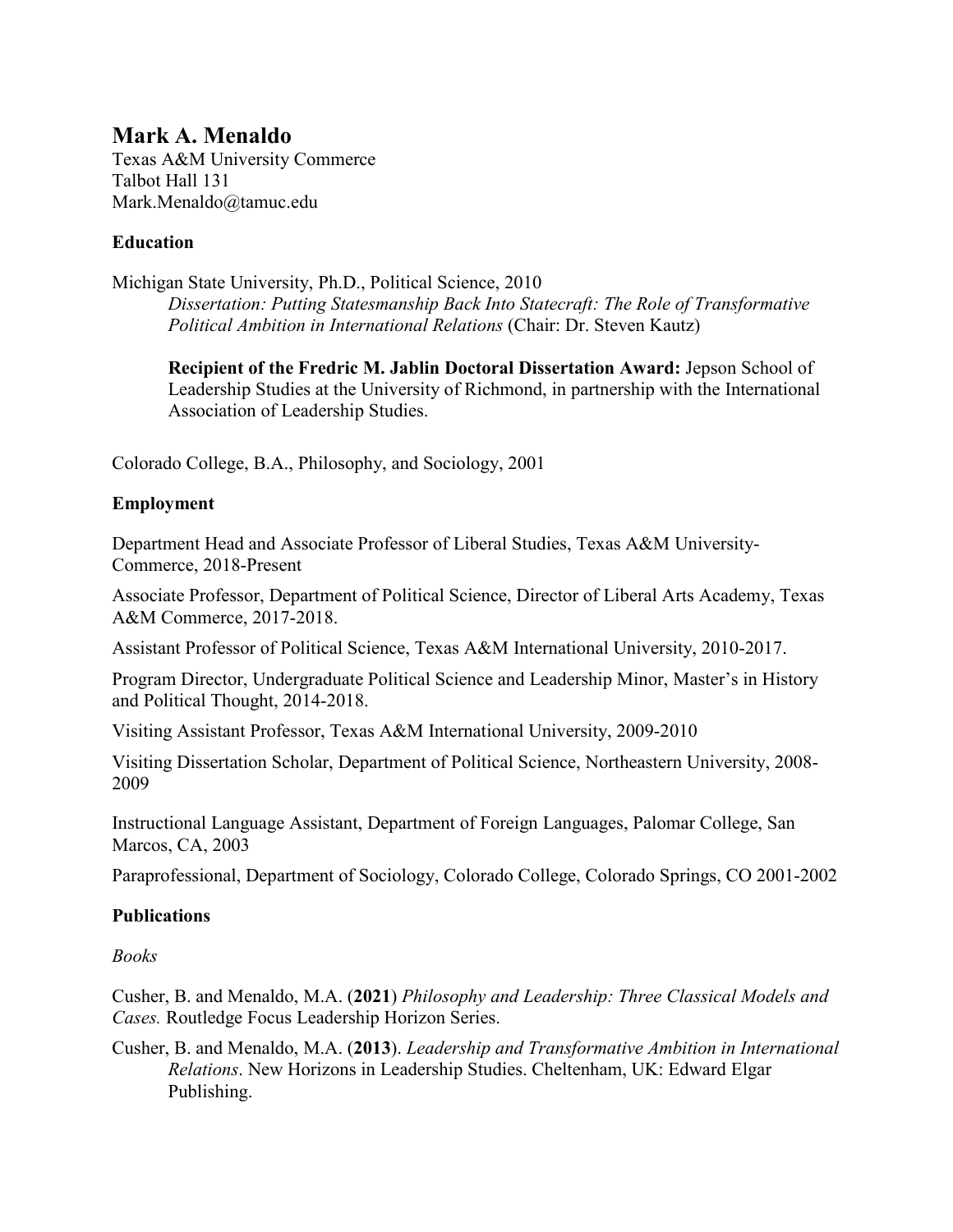# **Mark A. Menaldo**

Texas A&M University Commerce Talbot Hall 131 Mark.Menaldo@tamuc.edu

# **Education**

Michigan State University, Ph.D., Political Science, 2010

*Dissertation: Putting Statesmanship Back Into Statecraft: The Role of Transformative Political Ambition in International Relations* (Chair: Dr. Steven Kautz)

**Recipient of the Fredric M. Jablin Doctoral Dissertation Award:** Jepson School of Leadership Studies at the University of Richmond, in partnership with the International Association of Leadership Studies.

Colorado College, B.A., Philosophy, and Sociology, 2001

### **Employment**

Department Head and Associate Professor of Liberal Studies, Texas A&M University-Commerce, 2018-Present

Associate Professor, Department of Political Science, Director of Liberal Arts Academy, Texas A&M Commerce, 2017-2018.

Assistant Professor of Political Science, Texas A&M International University, 2010-2017.

Program Director, Undergraduate Political Science and Leadership Minor, Master's in History and Political Thought, 2014-2018.

Visiting Assistant Professor, Texas A&M International University, 2009-2010

Visiting Dissertation Scholar, Department of Political Science, Northeastern University, 2008- 2009

Instructional Language Assistant, Department of Foreign Languages, Palomar College, San Marcos, CA, 2003

Paraprofessional, Department of Sociology, Colorado College, Colorado Springs, CO 2001-2002

# **Publications**

### *Books*

Cusher, B. and Menaldo, M.A. (**2021**) *Philosophy and Leadership: Three Classical Models and Cases.* Routledge Focus Leadership Horizon Series.

Cusher, B. and Menaldo, M.A. (**2013**). *Leadership and Transformative Ambition in International Relations*. New Horizons in Leadership Studies. Cheltenham, UK: Edward Elgar Publishing.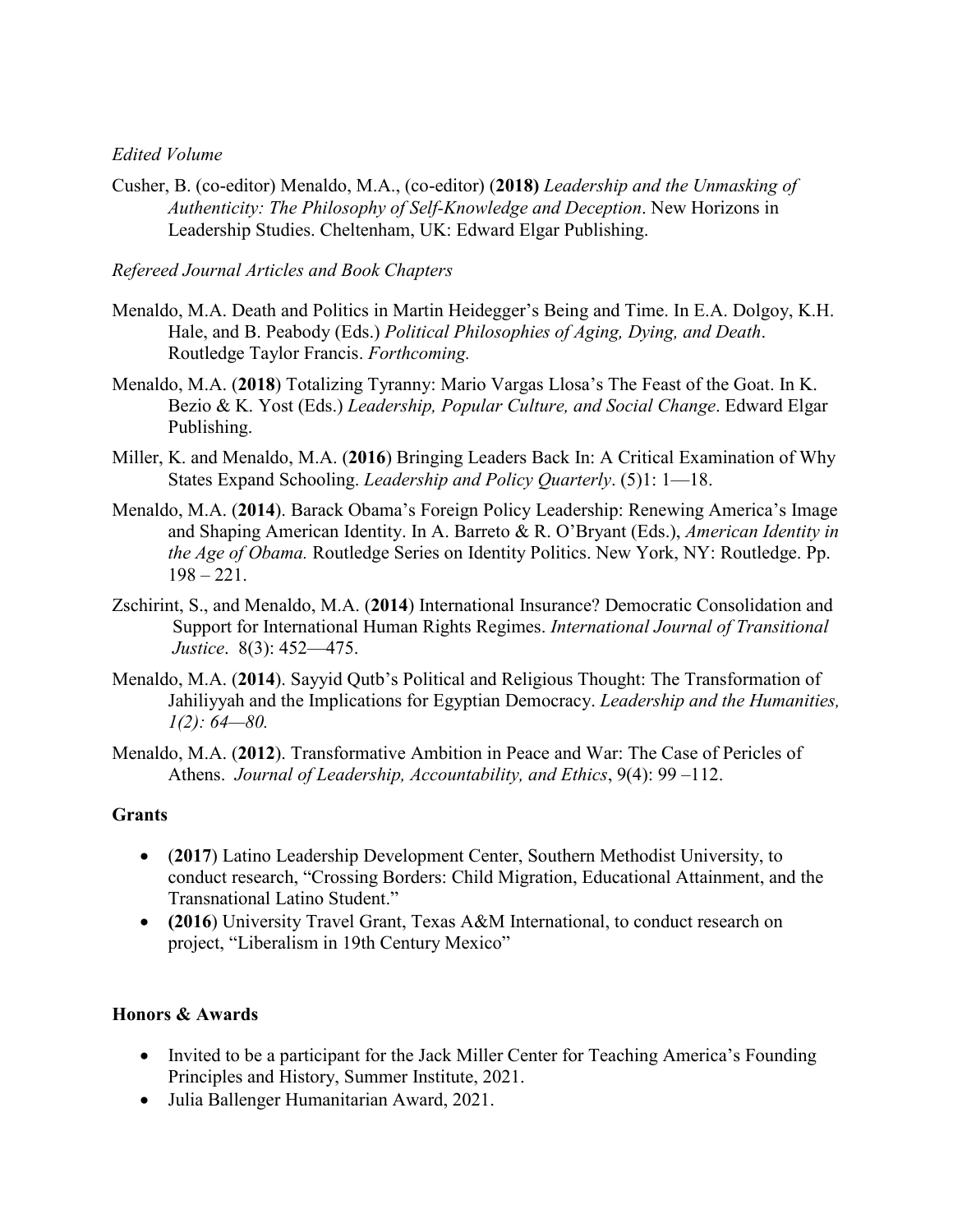### *Edited Volume*

Cusher, B. (co-editor) Menaldo, M.A., (co-editor) (**2018)** *Leadership and the Unmasking of Authenticity: The Philosophy of Self-Knowledge and Deception*. New Horizons in Leadership Studies. Cheltenham, UK: Edward Elgar Publishing.

*Refereed Journal Articles and Book Chapters*

- Menaldo, M.A. Death and Politics in Martin Heidegger's Being and Time. In E.A. Dolgoy, K.H. Hale, and B. Peabody (Eds.) *Political Philosophies of Aging, Dying, and Death*. Routledge Taylor Francis. *Forthcoming.*
- Menaldo, M.A. (**2018**) Totalizing Tyranny: Mario Vargas Llosa's The Feast of the Goat. In K. Bezio & K. Yost (Eds.) *Leadership, Popular Culture, and Social Change*. Edward Elgar Publishing.
- Miller, K. and Menaldo, M.A. (**2016**) Bringing Leaders Back In: A Critical Examination of Why States Expand Schooling. *Leadership and Policy Quarterly*. (5)1: 1—18.
- Menaldo, M.A. (**2014**). Barack Obama's Foreign Policy Leadership: Renewing America's Image and Shaping American Identity. In A. Barreto & R. O'Bryant (Eds.), *American Identity in the Age of Obama.* Routledge Series on Identity Politics. New York, NY: Routledge. Pp.  $198 - 221.$
- Zschirint, S., and Menaldo, M.A. (**2014**) International Insurance? Democratic Consolidation and Support for International Human Rights Regimes. *International Journal of Transitional Justice*. 8(3): 452—475.
- Menaldo, M.A. (**2014**). Sayyid Qutb's Political and Religious Thought: The Transformation of Jahiliyyah and the Implications for Egyptian Democracy. *Leadership and the Humanities, 1(2): 64—80.*
- Menaldo, M.A. (**2012**). Transformative Ambition in Peace and War: The Case of Pericles of Athens. *Journal of Leadership, Accountability, and Ethics*, 9(4): 99 –112.

#### **Grants**

- (**2017**) Latino Leadership Development Center, Southern Methodist University, to conduct research, "Crossing Borders: Child Migration, Educational Attainment, and the Transnational Latino Student."
- **(2016**) University Travel Grant, Texas A&M International, to conduct research on project, "Liberalism in 19th Century Mexico"

#### **Honors & Awards**

- Invited to be a participant for the Jack Miller Center for Teaching America's Founding Principles and History, Summer Institute, 2021.
- Julia Ballenger Humanitarian Award, 2021.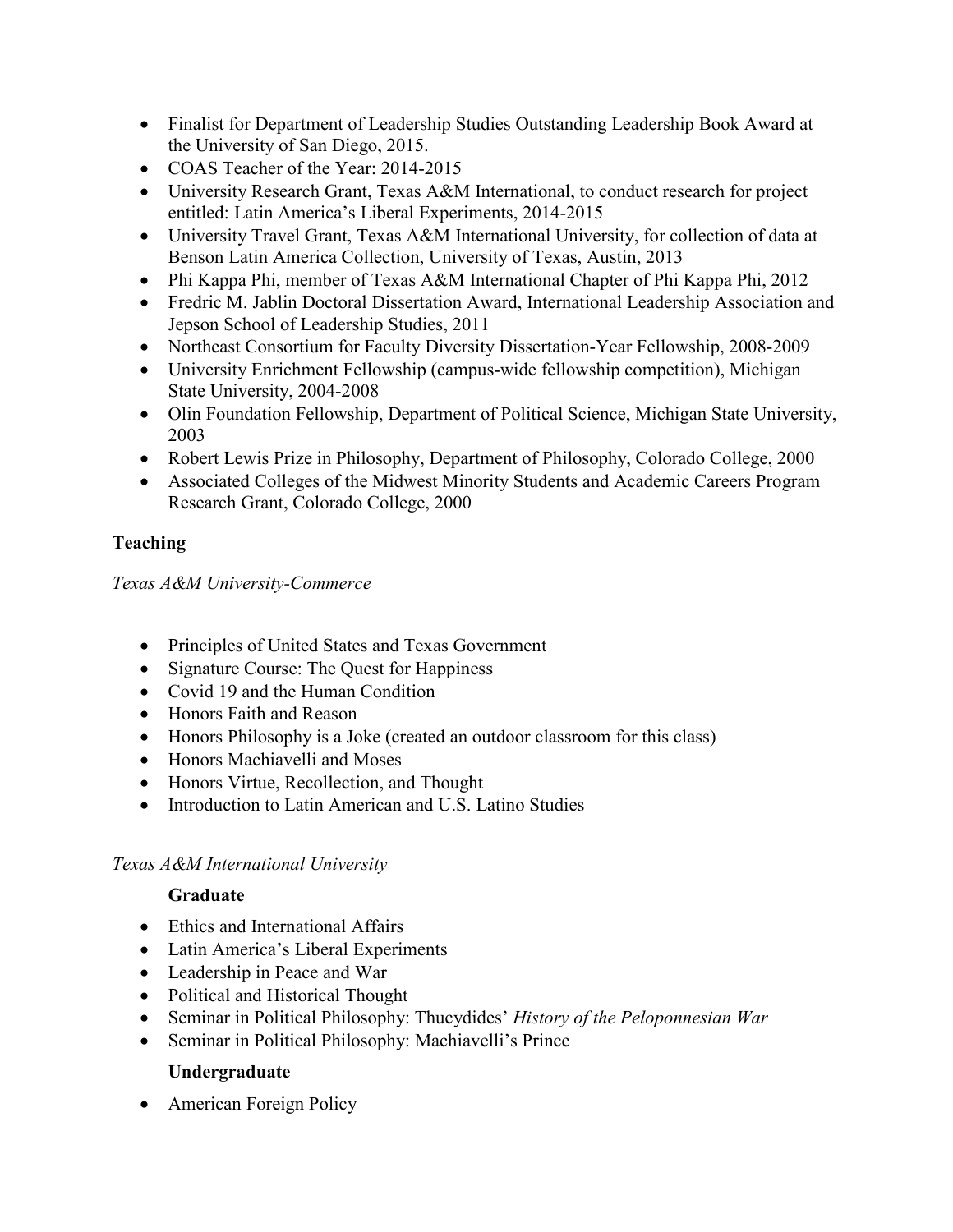- Finalist for Department of Leadership Studies Outstanding Leadership Book Award at the University of San Diego, 2015.
- COAS Teacher of the Year: 2014-2015
- University Research Grant, Texas A&M International, to conduct research for project entitled: Latin America's Liberal Experiments, 2014-2015
- University Travel Grant, Texas A&M International University, for collection of data at Benson Latin America Collection, University of Texas, Austin, 2013
- Phi Kappa Phi, member of Texas A&M International Chapter of Phi Kappa Phi, 2012
- Fredric M. Jablin Doctoral Dissertation Award, International Leadership Association and Jepson School of Leadership Studies, 2011
- Northeast Consortium for Faculty Diversity Dissertation-Year Fellowship, 2008-2009
- University Enrichment Fellowship (campus-wide fellowship competition), Michigan State University, 2004-2008
- Olin Foundation Fellowship, Department of Political Science, Michigan State University, 2003
- Robert Lewis Prize in Philosophy, Department of Philosophy, Colorado College, 2000
- Associated Colleges of the Midwest Minority Students and Academic Careers Program Research Grant, Colorado College, 2000

# **Teaching**

*Texas A&M University-Commerce*

- Principles of United States and Texas Government
- Signature Course: The Quest for Happiness
- Covid 19 and the Human Condition
- Honors Faith and Reason
- Honors Philosophy is a Joke (created an outdoor classroom for this class)
- Honors Machiavelli and Moses
- Honors Virtue, Recollection, and Thought
- Introduction to Latin American and U.S. Latino Studies

# *Texas A&M International University*

# **Graduate**

- Ethics and International Affairs
- Latin America's Liberal Experiments
- Leadership in Peace and War
- Political and Historical Thought
- Seminar in Political Philosophy: Thucydides' *History of the Peloponnesian War*
- Seminar in Political Philosophy: Machiavelli's Prince

# **Undergraduate**

• American Foreign Policy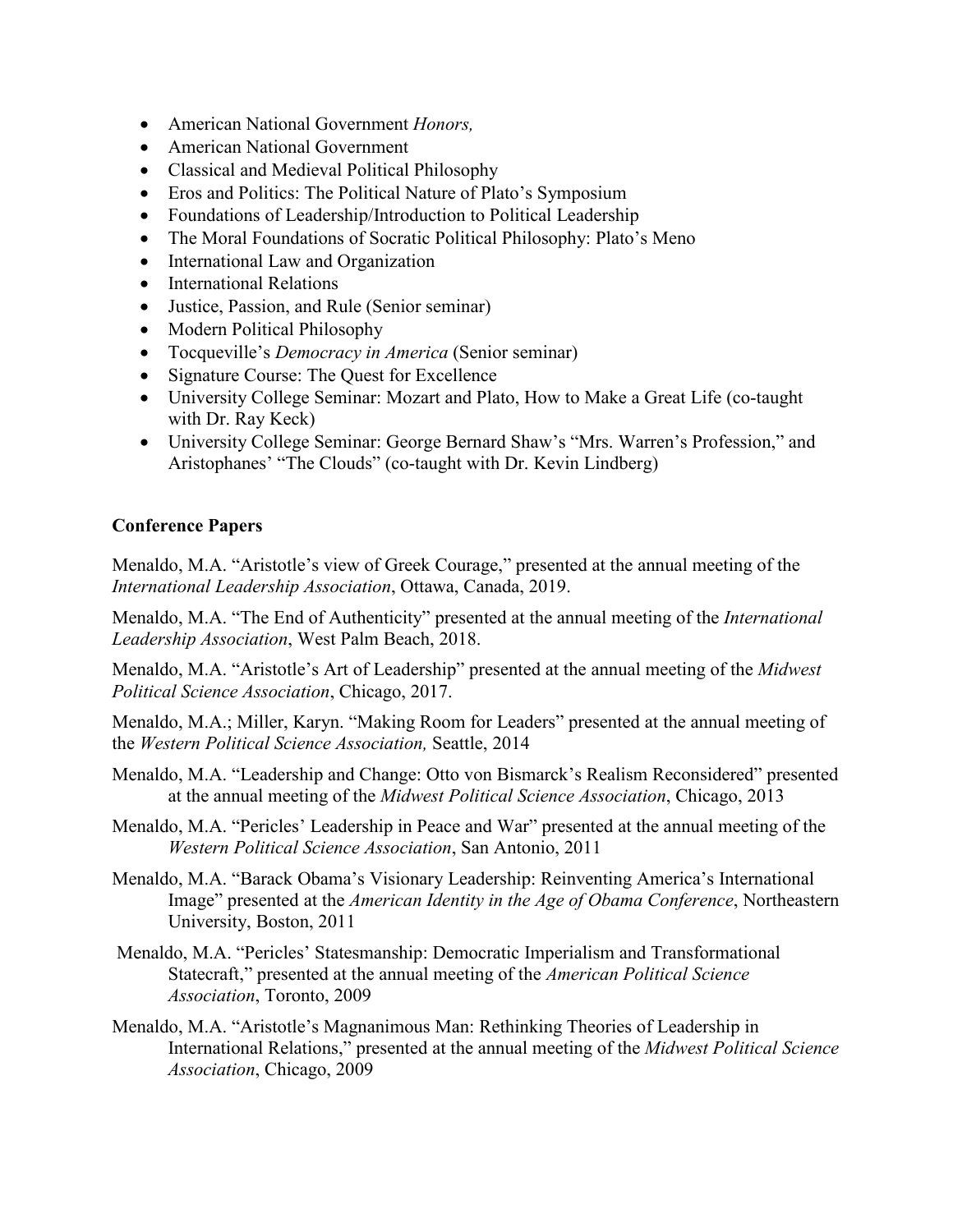- American National Government *Honors,*
- American National Government
- Classical and Medieval Political Philosophy
- Eros and Politics: The Political Nature of Plato's Symposium
- Foundations of Leadership/Introduction to Political Leadership
- The Moral Foundations of Socratic Political Philosophy: Plato's Meno
- International Law and Organization
- International Relations
- Justice, Passion, and Rule (Senior seminar)
- Modern Political Philosophy
- Tocqueville's *Democracy in America* (Senior seminar)
- Signature Course: The Quest for Excellence
- University College Seminar: Mozart and Plato, How to Make a Great Life (co-taught) with Dr. Ray Keck)
- University College Seminar: George Bernard Shaw's "Mrs. Warren's Profession," and Aristophanes' "The Clouds" (co-taught with Dr. Kevin Lindberg)

# **Conference Papers**

Menaldo, M.A. "Aristotle's view of Greek Courage," presented at the annual meeting of the *International Leadership Association*, Ottawa, Canada, 2019.

Menaldo, M.A. "The End of Authenticity" presented at the annual meeting of the *International Leadership Association*, West Palm Beach, 2018.

Menaldo, M.A. "Aristotle's Art of Leadership" presented at the annual meeting of the *Midwest Political Science Association*, Chicago, 2017.

Menaldo, M.A.; Miller, Karyn. "Making Room for Leaders" presented at the annual meeting of the *Western Political Science Association,* Seattle, 2014

- Menaldo, M.A. "Leadership and Change: Otto von Bismarck's Realism Reconsidered" presented at the annual meeting of the *Midwest Political Science Association*, Chicago, 2013
- Menaldo, M.A. "Pericles' Leadership in Peace and War" presented at the annual meeting of the *Western Political Science Association*, San Antonio, 2011
- Menaldo, M.A. "Barack Obama's Visionary Leadership: Reinventing America's International Image" presented at the *American Identity in the Age of Obama Conference*, Northeastern University, Boston, 2011
- Menaldo, M.A. "Pericles' Statesmanship: Democratic Imperialism and Transformational Statecraft," presented at the annual meeting of the *American Political Science Association*, Toronto, 2009
- Menaldo, M.A. "Aristotle's Magnanimous Man: Rethinking Theories of Leadership in International Relations," presented at the annual meeting of the *Midwest Political Science Association*, Chicago, 2009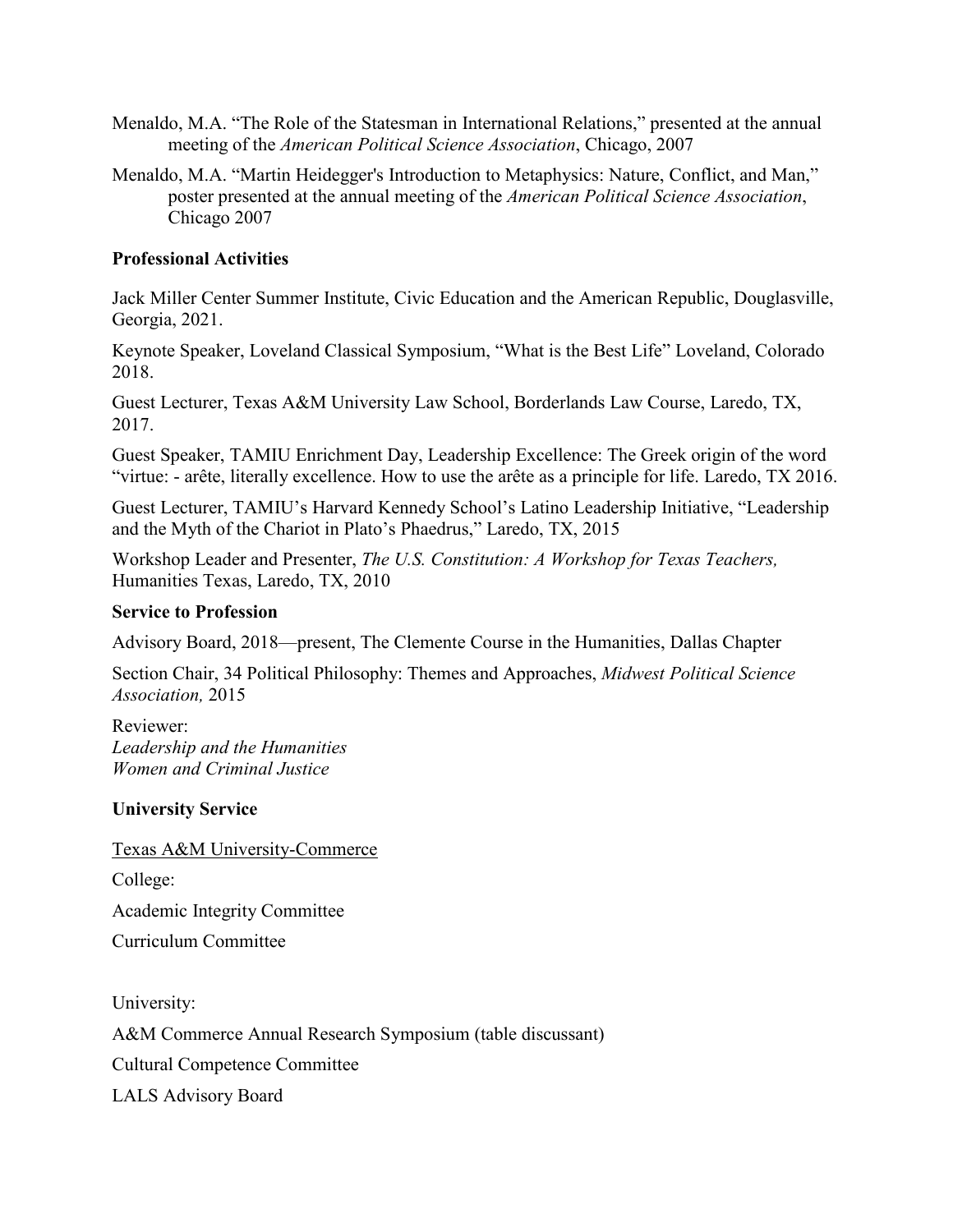- Menaldo, M.A. "The Role of the Statesman in International Relations," presented at the annual meeting of the *American Political Science Association*, Chicago, 2007
- Menaldo, M.A. "Martin Heidegger's Introduction to Metaphysics: Nature, Conflict, and Man," poster presented at the annual meeting of the *American Political Science Association*, Chicago 2007

### **Professional Activities**

Jack Miller Center Summer Institute, Civic Education and the American Republic, Douglasville, Georgia, 2021.

Keynote Speaker, Loveland Classical Symposium, "What is the Best Life" Loveland, Colorado 2018.

Guest Lecturer, Texas A&M University Law School, Borderlands Law Course, Laredo, TX, 2017.

Guest Speaker, TAMIU Enrichment Day, Leadership Excellence: The Greek origin of the word "virtue: - arête, literally excellence. How to use the arête as a principle for life. Laredo, TX 2016.

Guest Lecturer, TAMIU's Harvard Kennedy School's Latino Leadership Initiative, "Leadership and the Myth of the Chariot in Plato's Phaedrus," Laredo, TX, 2015

Workshop Leader and Presenter, *The U.S. Constitution: A Workshop for Texas Teachers,* Humanities Texas, Laredo, TX, 2010

### **Service to Profession**

Advisory Board, 2018—present, The Clemente Course in the Humanities, Dallas Chapter

Section Chair, 34 Political Philosophy: Themes and Approaches, *Midwest Political Science Association,* 2015

Reviewer: *Leadership and the Humanities Women and Criminal Justice*

### **University Service**

Texas A&M University-Commerce

College:

Academic Integrity Committee

Curriculum Committee

University:

A&M Commerce Annual Research Symposium (table discussant)

Cultural Competence Committee

LALS Advisory Board